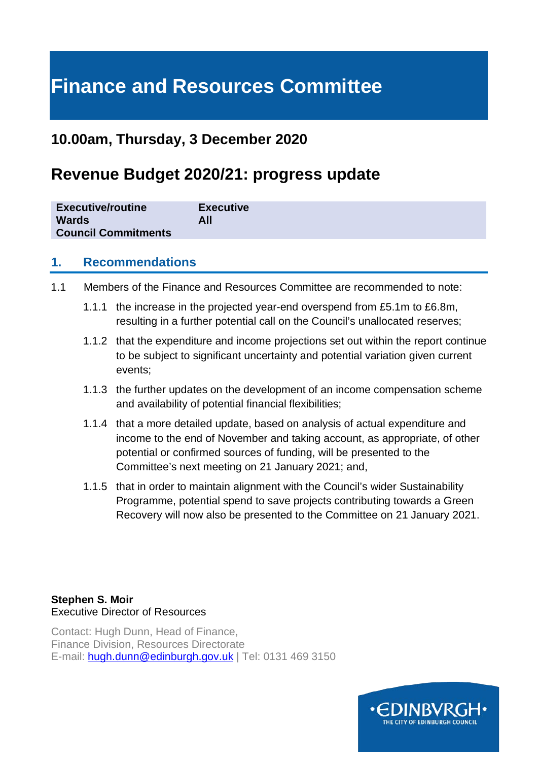# **Finance and Resources Committee**

## **10.00am, Thursday, 3 December 2020**

# **Revenue Budget 2020/21: progress update**

| <b>Executive/routine</b>   | <b>Executive</b> |
|----------------------------|------------------|
| <b>Wards</b>               | All              |
| <b>Council Commitments</b> |                  |

#### **1. Recommendations**

- 1.1 Members of the Finance and Resources Committee are recommended to note:
	- 1.1.1 the increase in the projected year-end overspend from £5.1m to £6.8m, resulting in a further potential call on the Council's unallocated reserves;
	- 1.1.2 that the expenditure and income projections set out within the report continue to be subject to significant uncertainty and potential variation given current events;
	- 1.1.3 the further updates on the development of an income compensation scheme and availability of potential financial flexibilities;
	- 1.1.4 that a more detailed update, based on analysis of actual expenditure and income to the end of November and taking account, as appropriate, of other potential or confirmed sources of funding, will be presented to the Committee's next meeting on 21 January 2021; and,
	- 1.1.5 that in order to maintain alignment with the Council's wider Sustainability Programme, potential spend to save projects contributing towards a Green Recovery will now also be presented to the Committee on 21 January 2021.

#### **Stephen S. Moir**  Executive Director of Resources

Contact: Hugh Dunn, Head of Finance, Finance Division, Resources Directorate E-mail: [hugh.dunn@edinburgh.gov.uk](mailto:hugh.dunn@edinburgh.gov.uk) | Tel: 0131 469 3150

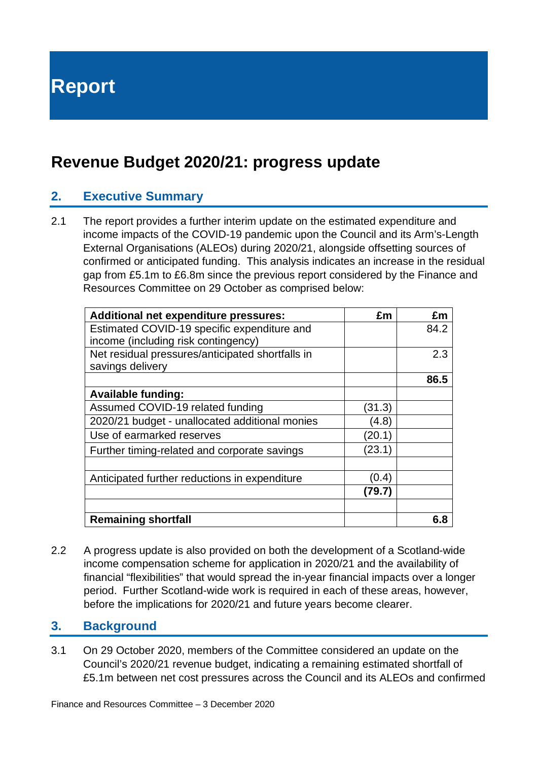**Report**

## **Revenue Budget 2020/21: progress update**

## **2. Executive Summary**

2.1 The report provides a further interim update on the estimated expenditure and income impacts of the COVID-19 pandemic upon the Council and its Arm's-Length External Organisations (ALEOs) during 2020/21, alongside offsetting sources of confirmed or anticipated funding. This analysis indicates an increase in the residual gap from £5.1m to £6.8m since the previous report considered by the Finance and Resources Committee on 29 October as comprised below:

| <b>Additional net expenditure pressures:</b>     | £m     | £m   |
|--------------------------------------------------|--------|------|
| Estimated COVID-19 specific expenditure and      |        | 84.2 |
| income (including risk contingency)              |        |      |
| Net residual pressures/anticipated shortfalls in |        | 2.3  |
| savings delivery                                 |        |      |
|                                                  |        | 86.5 |
| <b>Available funding:</b>                        |        |      |
| Assumed COVID-19 related funding                 | (31.3) |      |
| 2020/21 budget - unallocated additional monies   | (4.8)  |      |
| Use of earmarked reserves                        | (20.1) |      |
| Further timing-related and corporate savings     | (23.1) |      |
|                                                  |        |      |
| Anticipated further reductions in expenditure    | (0.4)  |      |
|                                                  | (79.7) |      |
|                                                  |        |      |
| <b>Remaining shortfall</b>                       |        | 6.8  |

2.2 A progress update is also provided on both the development of a Scotland-wide income compensation scheme for application in 2020/21 and the availability of financial "flexibilities" that would spread the in-year financial impacts over a longer period. Further Scotland-wide work is required in each of these areas, however, before the implications for 2020/21 and future years become clearer.

#### **3. Background**

3.1 On 29 October 2020, members of the Committee considered an update on the Council's 2020/21 revenue budget, indicating a remaining estimated shortfall of £5.1m between net cost pressures across the Council and its ALEOs and confirmed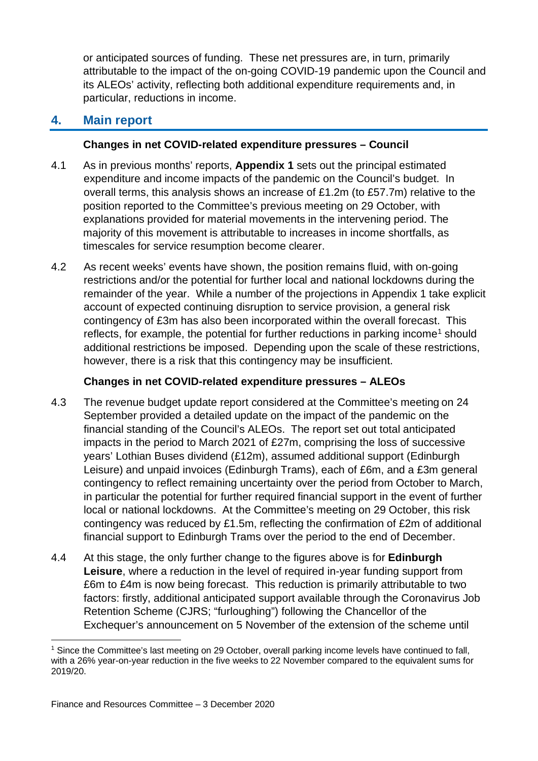or anticipated sources of funding. These net pressures are, in turn, primarily attributable to the impact of the on-going COVID-19 pandemic upon the Council and its ALEOs' activity, reflecting both additional expenditure requirements and, in particular, reductions in income.

## **4. Main report**

#### **Changes in net COVID-related expenditure pressures – Council**

- 4.1 As in previous months' reports, **Appendix 1** sets out the principal estimated expenditure and income impacts of the pandemic on the Council's budget. In overall terms, this analysis shows an increase of £1.2m (to £57.7m) relative to the position reported to the Committee's previous meeting on 29 October, with explanations provided for material movements in the intervening period. The majority of this movement is attributable to increases in income shortfalls, as timescales for service resumption become clearer.
- 4.2 As recent weeks' events have shown, the position remains fluid, with on-going restrictions and/or the potential for further local and national lockdowns during the remainder of the year. While a number of the projections in Appendix 1 take explicit account of expected continuing disruption to service provision, a general risk contingency of £3m has also been incorporated within the overall forecast. This reflects, for example, the potential for further reductions in parking income<sup>[1](#page-2-0)</sup> should additional restrictions be imposed. Depending upon the scale of these restrictions, however, there is a risk that this contingency may be insufficient.

#### **Changes in net COVID-related expenditure pressures – ALEOs**

- 4.3 The revenue budget update report considered at the Committee's meeting on 24 September provided a detailed update on the impact of the pandemic on the financial standing of the Council's ALEOs. The report set out total anticipated impacts in the period to March 2021 of £27m, comprising the loss of successive years' Lothian Buses dividend (£12m), assumed additional support (Edinburgh Leisure) and unpaid invoices (Edinburgh Trams), each of £6m, and a £3m general contingency to reflect remaining uncertainty over the period from October to March, in particular the potential for further required financial support in the event of further local or national lockdowns. At the Committee's meeting on 29 October, this risk contingency was reduced by £1.5m, reflecting the confirmation of £2m of additional financial support to Edinburgh Trams over the period to the end of December.
- 4.4 At this stage, the only further change to the figures above is for **Edinburgh Leisure**, where a reduction in the level of required in-year funding support from £6m to £4m is now being forecast. This reduction is primarily attributable to two factors: firstly, additional anticipated support available through the Coronavirus Job Retention Scheme (CJRS; "furloughing") following the Chancellor of the Exchequer's announcement on 5 November of the extension of the scheme until

<span id="page-2-0"></span><sup>1</sup> Since the Committee's last meeting on 29 October, overall parking income levels have continued to fall, with a 26% year-on-year reduction in the five weeks to 22 November compared to the equivalent sums for 2019/20.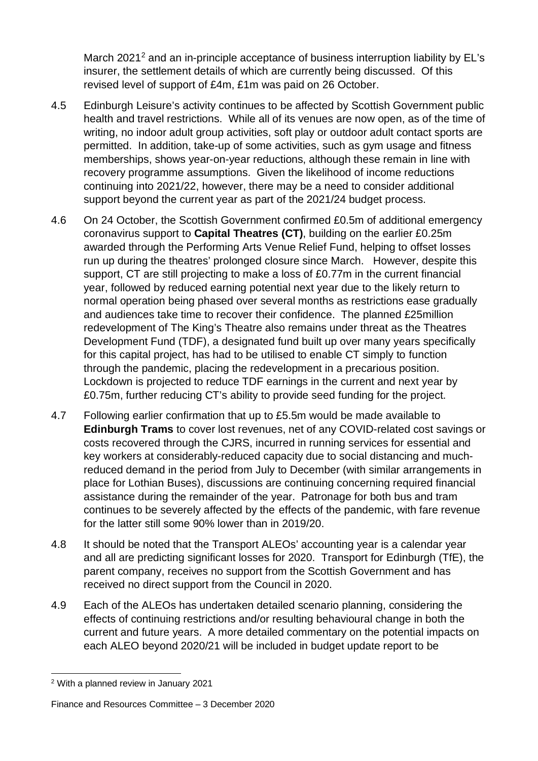March 2021<sup>2</sup> and an in-principle acceptance of business interruption liability by EL's insurer, the settlement details of which are currently being discussed. Of this revised level of support of £4m, £1m was paid on 26 October.

- 4.5 Edinburgh Leisure's activity continues to be affected by Scottish Government public health and travel restrictions. While all of its venues are now open, as of the time of writing, no indoor adult group activities, soft play or outdoor adult contact sports are permitted. In addition, take-up of some activities, such as gym usage and fitness memberships, shows year-on-year reductions, although these remain in line with recovery programme assumptions. Given the likelihood of income reductions continuing into 2021/22, however, there may be a need to consider additional support beyond the current year as part of the 2021/24 budget process.
- 4.6 On 24 October, the Scottish Government confirmed £0.5m of additional emergency coronavirus support to **Capital Theatres (CT)**, building on the earlier £0.25m awarded through the Performing Arts Venue Relief Fund, helping to offset losses run up during the theatres' prolonged closure since March. However, despite this support, CT are still projecting to make a loss of £0.77m in the current financial year, followed by reduced earning potential next year due to the likely return to normal operation being phased over several months as restrictions ease gradually and audiences take time to recover their confidence. The planned £25million redevelopment of The King's Theatre also remains under threat as the Theatres Development Fund (TDF), a designated fund built up over many years specifically for this capital project, has had to be utilised to enable CT simply to function through the pandemic, placing the redevelopment in a precarious position. Lockdown is projected to reduce TDF earnings in the current and next year by £0.75m, further reducing CT's ability to provide seed funding for the project.
- 4.7 Following earlier confirmation that up to £5.5m would be made available to **Edinburgh Trams** to cover lost revenues, net of any COVID-related cost savings or costs recovered through the CJRS, incurred in running services for essential and key workers at considerably-reduced capacity due to social distancing and muchreduced demand in the period from July to December (with similar arrangements in place for Lothian Buses), discussions are continuing concerning required financial assistance during the remainder of the year. Patronage for both bus and tram continues to be severely affected by the effects of the pandemic, with fare revenue for the latter still some 90% lower than in 2019/20.
- 4.8 It should be noted that the Transport ALEOs' accounting year is a calendar year and all are predicting significant losses for 2020. Transport for Edinburgh (TfE), the parent company, receives no support from the Scottish Government and has received no direct support from the Council in 2020.
- 4.9 Each of the ALEOs has undertaken detailed scenario planning, considering the effects of continuing restrictions and/or resulting behavioural change in both the current and future years. A more detailed commentary on the potential impacts on each ALEO beyond 2020/21 will be included in budget update report to be

<span id="page-3-0"></span><sup>2</sup> With a planned review in January 2021

Finance and Resources Committee – 3 December 2020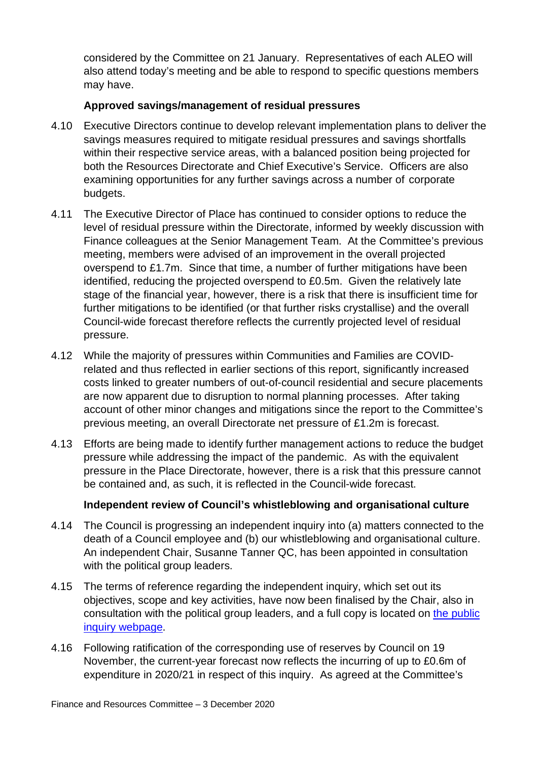considered by the Committee on 21 January. Representatives of each ALEO will also attend today's meeting and be able to respond to specific questions members may have.

#### **Approved savings/management of residual pressures**

- 4.10 Executive Directors continue to develop relevant implementation plans to deliver the savings measures required to mitigate residual pressures and savings shortfalls within their respective service areas, with a balanced position being projected for both the Resources Directorate and Chief Executive's Service. Officers are also examining opportunities for any further savings across a number of corporate budgets.
- 4.11 The Executive Director of Place has continued to consider options to reduce the level of residual pressure within the Directorate, informed by weekly discussion with Finance colleagues at the Senior Management Team. At the Committee's previous meeting, members were advised of an improvement in the overall projected overspend to £1.7m. Since that time, a number of further mitigations have been identified, reducing the projected overspend to £0.5m. Given the relatively late stage of the financial year, however, there is a risk that there is insufficient time for further mitigations to be identified (or that further risks crystallise) and the overall Council-wide forecast therefore reflects the currently projected level of residual pressure.
- 4.12 While the majority of pressures within Communities and Families are COVIDrelated and thus reflected in earlier sections of this report, significantly increased costs linked to greater numbers of out-of-council residential and secure placements are now apparent due to disruption to normal planning processes. After taking account of other minor changes and mitigations since the report to the Committee's previous meeting, an overall Directorate net pressure of £1.2m is forecast.
- 4.13 Efforts are being made to identify further management actions to reduce the budget pressure while addressing the impact of the pandemic. As with the equivalent pressure in the Place Directorate, however, there is a risk that this pressure cannot be contained and, as such, it is reflected in the Council-wide forecast.

#### **Independent review of Council's whistleblowing and organisational culture**

- 4.14 The Council is progressing an independent inquiry into (a) matters connected to the death of a Council employee and (b) our whistleblowing and organisational culture. An independent Chair, Susanne Tanner QC, has been appointed in consultation with the political group leaders.
- 4.15 The terms of reference regarding the independent inquiry, which set out its objectives, scope and key activities, have now been finalised by the Chair, also in consultation with the political group leaders, and a full copy is located on [the public](https://www.edinburgh.gov.uk/independentinquiry)  [inquiry webpage.](https://www.edinburgh.gov.uk/independentinquiry)
- 4.16 Following ratification of the corresponding use of reserves by Council on 19 November, the current-year forecast now reflects the incurring of up to £0.6m of expenditure in 2020/21 in respect of this inquiry. As agreed at the Committee's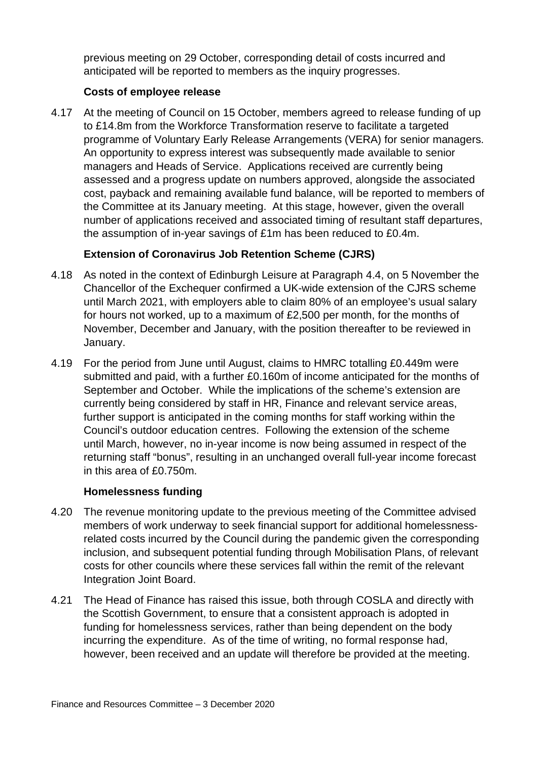previous meeting on 29 October, corresponding detail of costs incurred and anticipated will be reported to members as the inquiry progresses.

#### **Costs of employee release**

4.17 At the meeting of Council on 15 October, members agreed to release funding of up to £14.8m from the Workforce Transformation reserve to facilitate a targeted programme of Voluntary Early Release Arrangements (VERA) for senior managers. An opportunity to express interest was subsequently made available to senior managers and Heads of Service. Applications received are currently being assessed and a progress update on numbers approved, alongside the associated cost, payback and remaining available fund balance, will be reported to members of the Committee at its January meeting. At this stage, however, given the overall number of applications received and associated timing of resultant staff departures, the assumption of in-year savings of £1m has been reduced to £0.4m.

#### **Extension of Coronavirus Job Retention Scheme (CJRS)**

- 4.18 As noted in the context of Edinburgh Leisure at Paragraph 4.4, on 5 November the Chancellor of the Exchequer confirmed a UK-wide extension of the CJRS scheme until March 2021, with employers able to claim 80% of an employee's usual salary for hours not worked, up to a maximum of £2,500 per month, for the months of November, December and January, with the position thereafter to be reviewed in January.
- 4.19 For the period from June until August, claims to HMRC totalling £0.449m were submitted and paid, with a further £0.160m of income anticipated for the months of September and October. While the implications of the scheme's extension are currently being considered by staff in HR, Finance and relevant service areas, further support is anticipated in the coming months for staff working within the Council's outdoor education centres. Following the extension of the scheme until March, however, no in-year income is now being assumed in respect of the returning staff "bonus", resulting in an unchanged overall full-year income forecast in this area of £0.750m.

#### **Homelessness funding**

- 4.20 The revenue monitoring update to the previous meeting of the Committee advised members of work underway to seek financial support for additional homelessnessrelated costs incurred by the Council during the pandemic given the corresponding inclusion, and subsequent potential funding through Mobilisation Plans, of relevant costs for other councils where these services fall within the remit of the relevant Integration Joint Board.
- 4.21 The Head of Finance has raised this issue, both through COSLA and directly with the Scottish Government, to ensure that a consistent approach is adopted in funding for homelessness services, rather than being dependent on the body incurring the expenditure. As of the time of writing, no formal response had, however, been received and an update will therefore be provided at the meeting.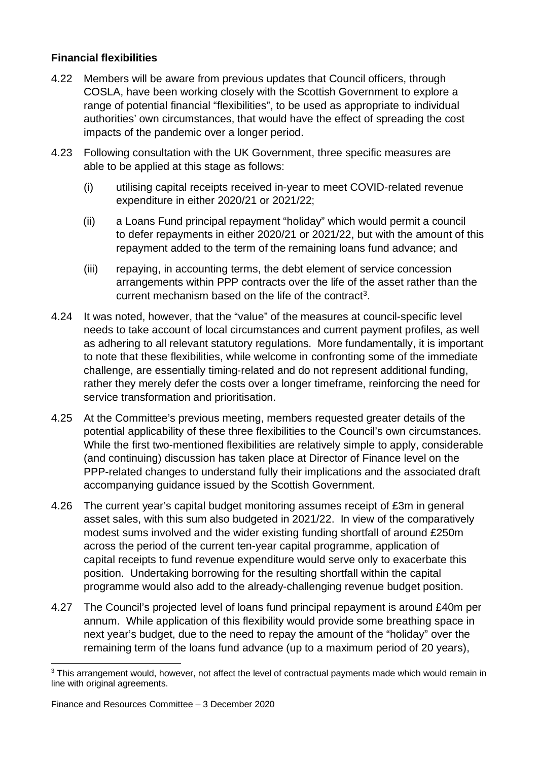#### **Financial flexibilities**

- 4.22 Members will be aware from previous updates that Council officers, through COSLA, have been working closely with the Scottish Government to explore a range of potential financial "flexibilities", to be used as appropriate to individual authorities' own circumstances, that would have the effect of spreading the cost impacts of the pandemic over a longer period.
- 4.23 Following consultation with the UK Government, three specific measures are able to be applied at this stage as follows:
	- (i) utilising capital receipts received in-year to meet COVID-related revenue expenditure in either 2020/21 or 2021/22;
	- (ii) a Loans Fund principal repayment "holiday" which would permit a council to defer repayments in either 2020/21 or 2021/22, but with the amount of this repayment added to the term of the remaining loans fund advance; and
	- (iii) repaying, in accounting terms, the debt element of service concession arrangements within PPP contracts over the life of the asset rather than the current mechanism based on the life of the contract<sup>[3](#page-6-0)</sup>.
- 4.24 It was noted, however, that the "value" of the measures at council-specific level needs to take account of local circumstances and current payment profiles, as well as adhering to all relevant statutory regulations. More fundamentally, it is important to note that these flexibilities, while welcome in confronting some of the immediate challenge, are essentially timing-related and do not represent additional funding, rather they merely defer the costs over a longer timeframe, reinforcing the need for service transformation and prioritisation.
- 4.25 At the Committee's previous meeting, members requested greater details of the potential applicability of these three flexibilities to the Council's own circumstances. While the first two-mentioned flexibilities are relatively simple to apply, considerable (and continuing) discussion has taken place at Director of Finance level on the PPP-related changes to understand fully their implications and the associated draft accompanying guidance issued by the Scottish Government.
- 4.26 The current year's capital budget monitoring assumes receipt of £3m in general asset sales, with this sum also budgeted in 2021/22. In view of the comparatively modest sums involved and the wider existing funding shortfall of around £250m across the period of the current ten-year capital programme, application of capital receipts to fund revenue expenditure would serve only to exacerbate this position. Undertaking borrowing for the resulting shortfall within the capital programme would also add to the already-challenging revenue budget position.
- 4.27 The Council's projected level of loans fund principal repayment is around £40m per annum. While application of this flexibility would provide some breathing space in next year's budget, due to the need to repay the amount of the "holiday" over the remaining term of the loans fund advance (up to a maximum period of 20 years),

<span id="page-6-0"></span><sup>&</sup>lt;sup>3</sup> This arrangement would, however, not affect the level of contractual payments made which would remain in line with original agreements.

Finance and Resources Committee – 3 December 2020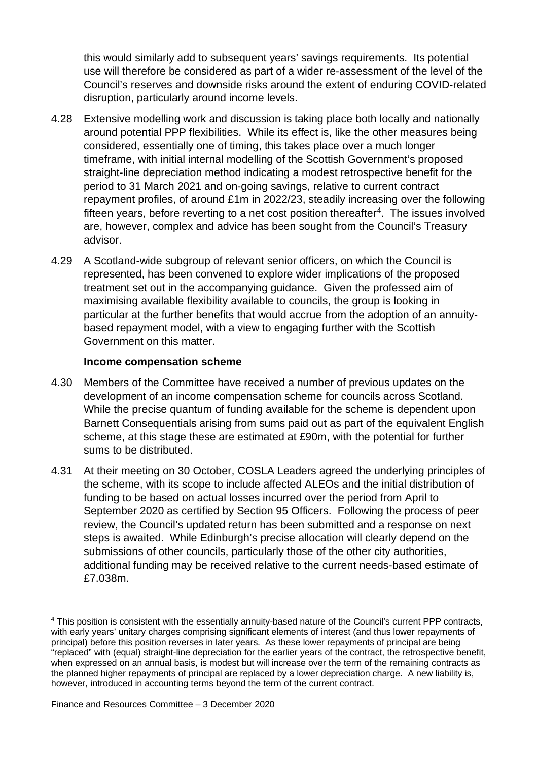this would similarly add to subsequent years' savings requirements. Its potential use will therefore be considered as part of a wider re-assessment of the level of the Council's reserves and downside risks around the extent of enduring COVID-related disruption, particularly around income levels.

- 4.28 Extensive modelling work and discussion is taking place both locally and nationally around potential PPP flexibilities. While its effect is, like the other measures being considered, essentially one of timing, this takes place over a much longer timeframe, with initial internal modelling of the Scottish Government's proposed straight-line depreciation method indicating a modest retrospective benefit for the period to 31 March 2021 and on-going savings, relative to current contract repayment profiles, of around £1m in 2022/23, steadily increasing over the following fifteen years, before reverting to a net cost position thereafter<sup>4</sup>. The issues involved are, however, complex and advice has been sought from the Council's Treasury advisor.
- 4.29 A Scotland-wide subgroup of relevant senior officers, on which the Council is represented, has been convened to explore wider implications of the proposed treatment set out in the accompanying guidance. Given the professed aim of maximising available flexibility available to councils, the group is looking in particular at the further benefits that would accrue from the adoption of an annuitybased repayment model, with a view to engaging further with the Scottish Government on this matter.

#### **Income compensation scheme**

- 4.30 Members of the Committee have received a number of previous updates on the development of an income compensation scheme for councils across Scotland. While the precise quantum of funding available for the scheme is dependent upon Barnett Consequentials arising from sums paid out as part of the equivalent English scheme, at this stage these are estimated at £90m, with the potential for further sums to be distributed.
- 4.31 At their meeting on 30 October, COSLA Leaders agreed the underlying principles of the scheme, with its scope to include affected ALEOs and the initial distribution of funding to be based on actual losses incurred over the period from April to September 2020 as certified by Section 95 Officers. Following the process of peer review, the Council's updated return has been submitted and a response on next steps is awaited. While Edinburgh's precise allocation will clearly depend on the submissions of other councils, particularly those of the other city authorities, additional funding may be received relative to the current needs-based estimate of £7.038m.

<span id="page-7-0"></span><sup>4</sup> This position is consistent with the essentially annuity-based nature of the Council's current PPP contracts, with early years' unitary charges comprising significant elements of interest (and thus lower repayments of principal) before this position reverses in later years. As these lower repayments of principal are being "replaced" with (equal) straight-line depreciation for the earlier years of the contract, the retrospective benefit, when expressed on an annual basis, is modest but will increase over the term of the remaining contracts as the planned higher repayments of principal are replaced by a lower depreciation charge. A new liability is, however, introduced in accounting terms beyond the term of the current contract.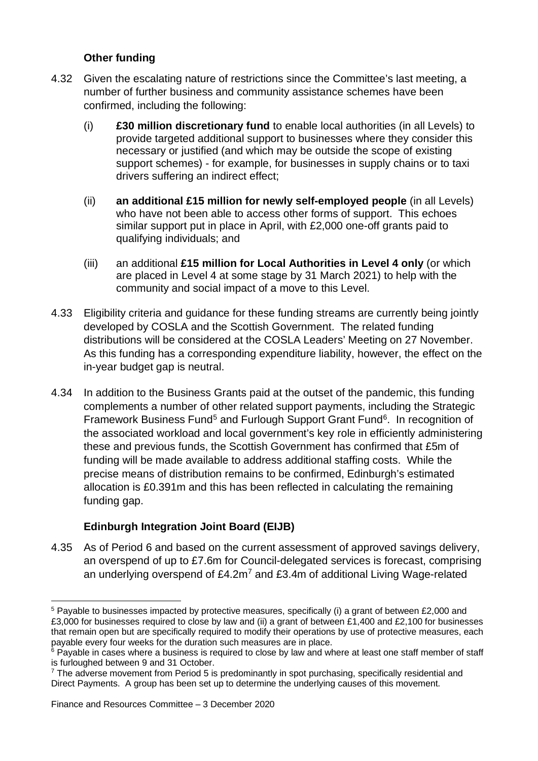#### **Other funding**

- 4.32 Given the escalating nature of restrictions since the Committee's last meeting, a number of further business and community assistance schemes have been confirmed, including the following:
	- (i) **£30 million discretionary fund** to enable local authorities (in all Levels) to provide targeted additional support to businesses where they consider this necessary or justified (and which may be outside the scope of existing support schemes) - for example, for businesses in supply chains or to taxi drivers suffering an indirect effect;
	- (ii) **an additional £15 million for newly self-employed people** (in all Levels) who have not been able to access other forms of support. This echoes similar support put in place in April, with £2,000 one-off grants paid to qualifying individuals; and
	- (iii) an additional **£15 million for Local Authorities in Level 4 only** (or which are placed in Level 4 at some stage by 31 March 2021) to help with the community and social impact of a move to this Level.
- 4.33 Eligibility criteria and guidance for these funding streams are currently being jointly developed by COSLA and the Scottish Government. The related funding distributions will be considered at the COSLA Leaders' Meeting on 27 November. As this funding has a corresponding expenditure liability, however, the effect on the in-year budget gap is neutral.
- 4.34 In addition to the Business Grants paid at the outset of the pandemic, this funding complements a number of other related support payments, including the Strategic Framework Business Fund<sup>[5](#page-8-0)</sup> and Furlough Support Grant Fund<sup>[6](#page-8-1)</sup>. In recognition of the associated workload and local government's key role in efficiently administering these and previous funds, the Scottish Government has confirmed that £5m of funding will be made available to address additional staffing costs. While the precise means of distribution remains to be confirmed, Edinburgh's estimated allocation is £0.391m and this has been reflected in calculating the remaining funding gap.

#### **Edinburgh Integration Joint Board (EIJB)**

4.35 As of Period 6 and based on the current assessment of approved savings delivery, an overspend of up to £7.6m for Council-delegated services is forecast, comprising an underlying overspend of  $£4.2m<sup>7</sup>$  $£4.2m<sup>7</sup>$  $£4.2m<sup>7</sup>$  and £3.4m of additional Living Wage-related

<span id="page-8-0"></span><sup>5</sup> Payable to businesses impacted by protective measures, specifically (i) a grant of between £2,000 and £3,000 for businesses required to close by law and (ii) a grant of between £1,400 and £2,100 for businesses that remain open but are specifically required to modify their operations by use of protective measures, each payable every four weeks for the duration such measures are in place.

<span id="page-8-1"></span> $6$  Payable in cases where a business is required to close by law and where at least one staff member of staff is furloughed between 9 and 31 October.

<span id="page-8-2"></span><sup>&</sup>lt;sup>7</sup> The adverse movement from Period 5 is predominantly in spot purchasing, specifically residential and Direct Payments. A group has been set up to determine the underlying causes of this movement.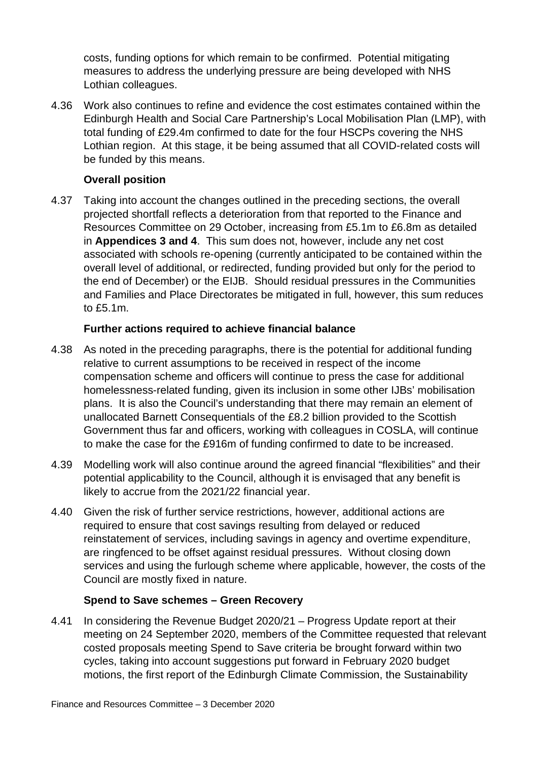costs, funding options for which remain to be confirmed. Potential mitigating measures to address the underlying pressure are being developed with NHS Lothian colleagues.

4.36 Work also continues to refine and evidence the cost estimates contained within the Edinburgh Health and Social Care Partnership's Local Mobilisation Plan (LMP), with total funding of £29.4m confirmed to date for the four HSCPs covering the NHS Lothian region. At this stage, it be being assumed that all COVID-related costs will be funded by this means.

#### **Overall position**

4.37 Taking into account the changes outlined in the preceding sections, the overall projected shortfall reflects a deterioration from that reported to the Finance and Resources Committee on 29 October, increasing from £5.1m to £6.8m as detailed in **Appendices 3 and 4**. This sum does not, however, include any net cost associated with schools re-opening (currently anticipated to be contained within the overall level of additional, or redirected, funding provided but only for the period to the end of December) or the EIJB. Should residual pressures in the Communities and Families and Place Directorates be mitigated in full, however, this sum reduces to £5.1m.

#### **Further actions required to achieve financial balance**

- 4.38 As noted in the preceding paragraphs, there is the potential for additional funding relative to current assumptions to be received in respect of the income compensation scheme and officers will continue to press the case for additional homelessness-related funding, given its inclusion in some other IJBs' mobilisation plans. It is also the Council's understanding that there may remain an element of unallocated Barnett Consequentials of the £8.2 billion provided to the Scottish Government thus far and officers, working with colleagues in COSLA, will continue to make the case for the £916m of funding confirmed to date to be increased.
- 4.39 Modelling work will also continue around the agreed financial "flexibilities" and their potential applicability to the Council, although it is envisaged that any benefit is likely to accrue from the 2021/22 financial year.
- 4.40 Given the risk of further service restrictions, however, additional actions are required to ensure that cost savings resulting from delayed or reduced reinstatement of services, including savings in agency and overtime expenditure, are ringfenced to be offset against residual pressures. Without closing down services and using the furlough scheme where applicable, however, the costs of the Council are mostly fixed in nature.

#### **Spend to Save schemes – Green Recovery**

4.41 In considering the Revenue Budget 2020/21 – Progress Update report at their meeting on 24 September 2020, members of the Committee requested that relevant costed proposals meeting Spend to Save criteria be brought forward within two cycles, taking into account suggestions put forward in February 2020 budget motions, the first report of the Edinburgh Climate Commission, the Sustainability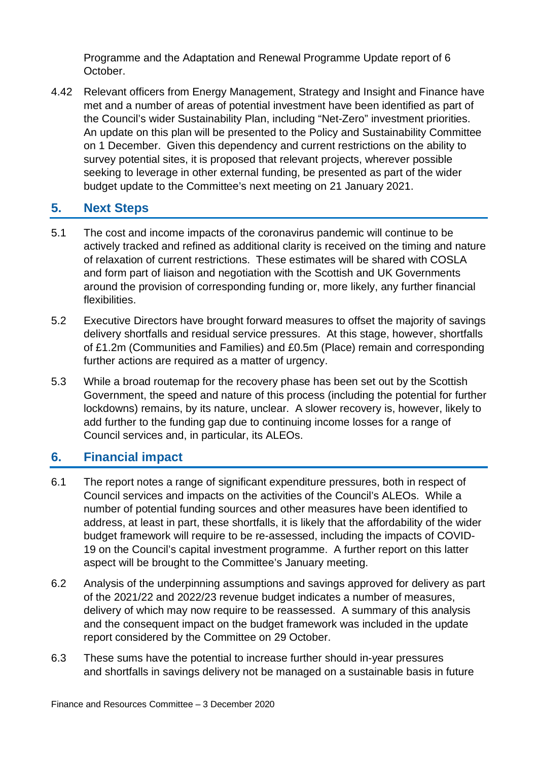Programme and the Adaptation and Renewal Programme Update report of 6 October.

4.42 Relevant officers from Energy Management, Strategy and Insight and Finance have met and a number of areas of potential investment have been identified as part of the Council's wider Sustainability Plan, including "Net-Zero" investment priorities. An update on this plan will be presented to the Policy and Sustainability Committee on 1 December. Given this dependency and current restrictions on the ability to survey potential sites, it is proposed that relevant projects, wherever possible seeking to leverage in other external funding, be presented as part of the wider budget update to the Committee's next meeting on 21 January 2021.

### **5. Next Steps**

- 5.1 The cost and income impacts of the coronavirus pandemic will continue to be actively tracked and refined as additional clarity is received on the timing and nature of relaxation of current restrictions. These estimates will be shared with COSLA and form part of liaison and negotiation with the Scottish and UK Governments around the provision of corresponding funding or, more likely, any further financial flexibilities.
- 5.2 Executive Directors have brought forward measures to offset the majority of savings delivery shortfalls and residual service pressures. At this stage, however, shortfalls of £1.2m (Communities and Families) and £0.5m (Place) remain and corresponding further actions are required as a matter of urgency.
- 5.3 While a broad routemap for the recovery phase has been set out by the Scottish Government, the speed and nature of this process (including the potential for further lockdowns) remains, by its nature, unclear. A slower recovery is, however, likely to add further to the funding gap due to continuing income losses for a range of Council services and, in particular, its ALEOs.

## **6. Financial impact**

- 6.1 The report notes a range of significant expenditure pressures, both in respect of Council services and impacts on the activities of the Council's ALEOs. While a number of potential funding sources and other measures have been identified to address, at least in part, these shortfalls, it is likely that the affordability of the wider budget framework will require to be re-assessed, including the impacts of COVID-19 on the Council's capital investment programme. A further report on this latter aspect will be brought to the Committee's January meeting.
- 6.2 Analysis of the underpinning assumptions and savings approved for delivery as part of the 2021/22 and 2022/23 revenue budget indicates a number of measures, delivery of which may now require to be reassessed. A summary of this analysis and the consequent impact on the budget framework was included in the update report considered by the Committee on 29 October.
- 6.3 These sums have the potential to increase further should in-year pressures and shortfalls in savings delivery not be managed on a sustainable basis in future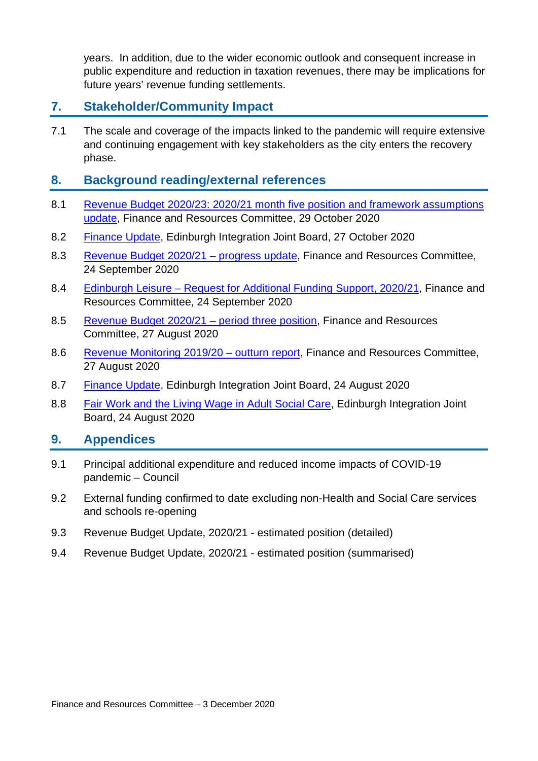years. In addition, due to the wider economic outlook and consequent increase in public expenditure and reduction in taxation revenues, there may be implications for future years' revenue funding settlements.

## **7. Stakeholder/Community Impact**

7.1 The scale and coverage of the impacts linked to the pandemic will require extensive and continuing engagement with key stakeholders as the city enters the recovery phase.

#### **8. Background reading/external references**

- 8.1 [Revenue Budget 2020/23: 2020/21 month five position and framework assumptions](https://democracy.edinburgh.gov.uk/documents/s28346/7.1%20-%20Revenue%20Budget%20202023%20202021%20Month%20Five%20Position%20and%20Framework%20Assumptions%20Update.pdf)  [update,](https://democracy.edinburgh.gov.uk/documents/s28346/7.1%20-%20Revenue%20Budget%20202023%20202021%20Month%20Five%20Position%20and%20Framework%20Assumptions%20Update.pdf) Finance and Resources Committee, 29 October 2020
- 8.2 [Finance Update,](https://democracy.edinburgh.gov.uk/documents/s28260/7.1%20-%20Finance%20Update%20V2.pdf) Edinburgh Integration Joint Board, 27 October 2020
- 8.3 [Revenue Budget 2020/21 –](https://democracy.edinburgh.gov.uk/documents/s26396/7.1%20-%20Revenue%20Budget%20202021%20progress%20update.pdf) progress update, Finance and Resources Committee, 24 September 2020
- 8.4 Edinburgh Leisure [Request for Additional Funding Support, 2020/21,](https://democracy.edinburgh.gov.uk/documents/s26397/7.2%20-%20Edinburgh%20Leisure%20Request%20for%20Additional%20Funding%20Support%20202021.pdf) Finance and Resources Committee, 24 September 2020
- 8.5 [Revenue Budget 2020/21 –](https://democracy.edinburgh.gov.uk/documents/s25584/7.4%20-%20Revenue%20Budget%202020-21%20Update.pdf) period three position, Finance and Resources Committee, 27 August 2020
- 8.6 [Revenue Monitoring 2019/20 –](https://democracy.edinburgh.gov.uk/documents/s25581/7.1%20-%20Revenue%20Monitoring%20201920%20-%20Outturn%20Report.pdf) outturn report, Finance and Resources Committee, 27 August 2020
- 8.7 [Finance Update,](https://democracy.edinburgh.gov.uk/documents/s25358/8.1%20-%20Finance%20Update.pdf) Edinburgh Integration Joint Board, 24 August 2020
- 8.8 [Fair Work and the Living Wage in Adult Social Care,](https://democracy.edinburgh.gov.uk/documents/s25360/8.2%20-%20Fair%20Work%20and%20the%20Living%20Wage%20in%20Adult%20Social%20Care.pdf) Edinburgh Integration Joint Board, 24 August 2020

#### **9. Appendices**

- 9.1 Principal additional expenditure and reduced income impacts of COVID-19 pandemic – Council
- 9.2 External funding confirmed to date excluding non-Health and Social Care services and schools re-opening
- 9.3 Revenue Budget Update, 2020/21 estimated position (detailed)
- 9.4 Revenue Budget Update, 2020/21 estimated position (summarised)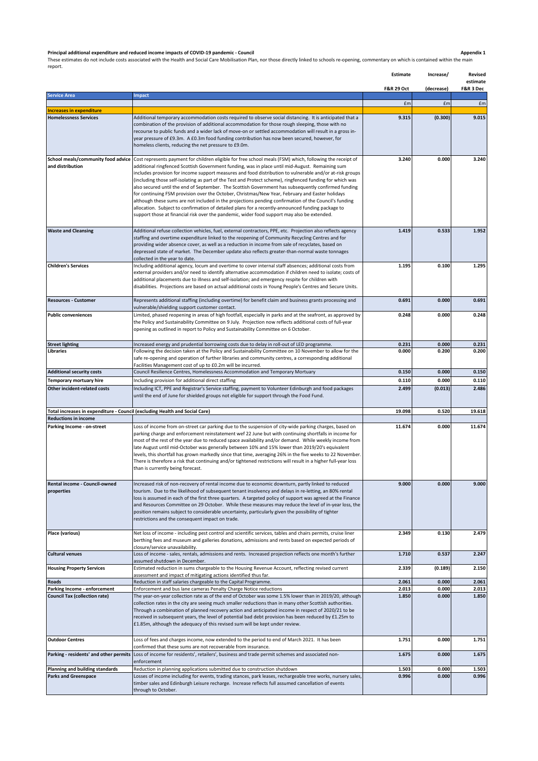**Principal additional expenditure and reduced income impacts of COVID-19 pandemic - Council**<br>These estimates do not include costs associated with the Health and Social Care Mobilisation Plan, nor those directly linked to s

|                                                                             |                                                                                                                                                                                                                                                                                                                                                                                                                                                                                                                                                                                                                                                                                                                                                                                                                                                                                                                                                              | Estimate              | Increase/      | <b>Revised</b><br>estimate |
|-----------------------------------------------------------------------------|--------------------------------------------------------------------------------------------------------------------------------------------------------------------------------------------------------------------------------------------------------------------------------------------------------------------------------------------------------------------------------------------------------------------------------------------------------------------------------------------------------------------------------------------------------------------------------------------------------------------------------------------------------------------------------------------------------------------------------------------------------------------------------------------------------------------------------------------------------------------------------------------------------------------------------------------------------------|-----------------------|----------------|----------------------------|
|                                                                             |                                                                                                                                                                                                                                                                                                                                                                                                                                                                                                                                                                                                                                                                                                                                                                                                                                                                                                                                                              | <b>F&amp;R 29 Oct</b> | (decrease)     | F&R 3 Dec                  |
| <b>Service Area</b>                                                         | <b>Impact</b>                                                                                                                                                                                                                                                                                                                                                                                                                                                                                                                                                                                                                                                                                                                                                                                                                                                                                                                                                | £m                    | £m             | £m                         |
| <b>Increases in expenditure</b>                                             |                                                                                                                                                                                                                                                                                                                                                                                                                                                                                                                                                                                                                                                                                                                                                                                                                                                                                                                                                              |                       |                |                            |
| <b>Homelessness Services</b>                                                | Additional temporary accommodation costs required to observe social distancing. It is anticipated that a<br>combination of the provision of additional accommodation for those rough sleeping, those with no<br>recourse to public funds and a wider lack of move-on or settled accommodation will result in a gross in-<br>year pressure of £9.3m. A £0.3m food funding contribution has now been secured, however, for<br>homeless clients, reducing the net pressure to £9.0m.                                                                                                                                                                                                                                                                                                                                                                                                                                                                            | 9.315                 | (0.300)        | 9.015                      |
| School meals/community food advice<br>and distribution                      | Cost represents payment for children eligible for free school meals (FSM) which, following the receipt of<br>additional ringfenced Scottish Government funding, was in place until mid-August. Remaining sum<br>includes provision for income support measures and food distribution to vulnerable and/or at-risk groups<br>(including those self-isolating as part of the Test and Protect scheme), ringfenced funding for which was<br>also secured until the end of September. The Scottish Government has subsequently confirmed funding<br>for continuing FSM provision over the October, Christmas/New Year, February and Easter holidays<br>although these sums are not included in the projections pending confirmation of the Council's funding<br>allocation. Subject to confirmation of detailed plans for a recently-announced funding package to<br>support those at financial risk over the pandemic, wider food support may also be extended. | 3.240                 | 0.000          | 3.240                      |
| <b>Waste and Cleansing</b>                                                  | Additional refuse collection vehicles, fuel, external contractors, PPE, etc. Projection also reflects agency<br>staffing and overtime expenditure linked to the reopening of Community Recycling Centres and for<br>providing wider absence cover, as well as a reduction in income from sale of recyclates, based on<br>depressed state of market. The December update also reflects greater-than-normal waste tonnages<br>collected in the year to date.                                                                                                                                                                                                                                                                                                                                                                                                                                                                                                   | 1.419                 | 0.533          | 1.952                      |
| <b>Children's Services</b>                                                  | Including additional agency, locum and overtime to cover internal staff absences; additional costs from<br>external providers and/or need to identify alternative accommodation if children need to isolate; costs of<br>additional placements due to illness and self-isolation; and emergency respite for children with<br>disabilities. Projections are based on actual additional costs in Young People's Centres and Secure Units.                                                                                                                                                                                                                                                                                                                                                                                                                                                                                                                      | 1.195                 | 0.100          | 1.295                      |
| <b>Resources - Customer</b>                                                 | Represents additional staffing (including overtime) for benefit claim and business grants processing and<br>vulnerable/shielding support customer contact.                                                                                                                                                                                                                                                                                                                                                                                                                                                                                                                                                                                                                                                                                                                                                                                                   | 0.691                 | 0.000          | 0.691                      |
| <b>Public conveniences</b>                                                  | Limited, phased reopening in areas of high footfall, especially in parks and at the seafront, as approved by<br>the Policy and Sustainability Committee on 9 July. Projection now reflects additional costs of full-year<br>opening as outlined in report to Policy and Sustainability Committee on 6 October.                                                                                                                                                                                                                                                                                                                                                                                                                                                                                                                                                                                                                                               | 0.248                 | 0.000          | 0.248                      |
| <b>Street lighting</b>                                                      | Increased energy and prudential borrowing costs due to delay in roll-out of LED programme.                                                                                                                                                                                                                                                                                                                                                                                                                                                                                                                                                                                                                                                                                                                                                                                                                                                                   | 0.231                 | 0.000          | 0.231                      |
| Libraries                                                                   | Following the decision taken at the Policy and Sustainability Committee on 10 November to allow for the<br>safe re-opening and operation of further libraries and community centres, a corresponding additional<br>Facilities Management cost of up to £0.2m will be incurred.                                                                                                                                                                                                                                                                                                                                                                                                                                                                                                                                                                                                                                                                               | 0.000                 | 0.200          | 0.200                      |
| <b>Additional security costs</b>                                            | Council Resilience Centres, Homelessness Accommodation and Temporary Mortuary                                                                                                                                                                                                                                                                                                                                                                                                                                                                                                                                                                                                                                                                                                                                                                                                                                                                                | 0.150                 | 0.000          | 0.150                      |
| Temporary mortuary hire                                                     | Including provision for additional direct staffing                                                                                                                                                                                                                                                                                                                                                                                                                                                                                                                                                                                                                                                                                                                                                                                                                                                                                                           | 0.110                 | 0.000          | 0.110                      |
| Other incident-related costs                                                | Including ICT, PPE and Registrar's Service staffing, payment to Volunteer Edinburgh and food packages<br>until the end of June for shielded groups not eligible for support through the Food Fund.                                                                                                                                                                                                                                                                                                                                                                                                                                                                                                                                                                                                                                                                                                                                                           | 2.499                 | (0.013)        | 2.486                      |
| Total increases in expenditure - Council (excluding Health and Social Care) |                                                                                                                                                                                                                                                                                                                                                                                                                                                                                                                                                                                                                                                                                                                                                                                                                                                                                                                                                              | 19.098                | 0.520          | 19.618                     |
| <b>Reductions in income</b>                                                 |                                                                                                                                                                                                                                                                                                                                                                                                                                                                                                                                                                                                                                                                                                                                                                                                                                                                                                                                                              |                       |                |                            |
| Parking Income - on-street                                                  | Loss of income from on-street car parking due to the suspension of city-wide parking charges, based on<br>parking charge and enforcement reinstatement wef 22 June but with continuing shortfalls in income for<br>most of the rest of the year due to reduced space availability and/or demand. While weekly income from<br>late August until mid-October was generally between 10% and 15% lower than 2019/20's equivalent<br>levels, this shortfall has grown markedly since that time, averaging 26% in the five weeks to 22 November.<br>There is therefore a risk that continuing and/or tightened restrictions will result in a higher full-year loss<br>than is currently being forecast.                                                                                                                                                                                                                                                            | 11.674                | 0.000          | 11.674                     |
| Rental income - Council-owned<br>properties                                 | Increased risk of non-recovery of rental income due to economic downturn, partly linked to reduced<br>tourism. Due to the likelihood of subsequent tenant insolvency and delays in re-letting, an 80% rental<br>loss is assumed in each of the first three quarters. A targeted policy of support was agreed at the Finance<br>and Resources Committee on 29 October. While these measures may reduce the level of in-year loss, the<br>position remains subject to considerable uncertainty, particularly given the possibility of tighter<br>restrictions and the consequent impact on trade.                                                                                                                                                                                                                                                                                                                                                              | 9.000                 | 0.000          | 9.000                      |
| Place (various)                                                             | Net loss of income - including pest control and scientific services, tables and chairs permits, cruise liner<br>berthing fees and museum and galleries donations, admissions and rents based on expected periods of<br>closure/service unavailability.                                                                                                                                                                                                                                                                                                                                                                                                                                                                                                                                                                                                                                                                                                       | 2.349                 | 0.130          | 2.479                      |
| <b>Cultural venues</b>                                                      | Loss of income - sales, rentals, admissions and rents. Increased projection reflects one month's further<br>assumed shutdown in December.                                                                                                                                                                                                                                                                                                                                                                                                                                                                                                                                                                                                                                                                                                                                                                                                                    | 1.710                 | 0.537          | 2.247                      |
| <b>Housing Property Services</b>                                            | Estimated reduction in sums chargeable to the Housing Revenue Account, reflecting revised current<br>assessment and impact of mitigating actions identified thus far.                                                                                                                                                                                                                                                                                                                                                                                                                                                                                                                                                                                                                                                                                                                                                                                        | 2.339                 | (0.189)        | 2.150                      |
| Roads                                                                       | Reduction in staff salaries chargeable to the Capital Programme.                                                                                                                                                                                                                                                                                                                                                                                                                                                                                                                                                                                                                                                                                                                                                                                                                                                                                             | 2.061                 | 0.000          | 2.061                      |
| Parking Income - enforcement<br><b>Council Tax (collection rate)</b>        | Enforcement and bus lane cameras Penalty Charge Notice reductions<br>The year-on-year collection rate as of the end of October was some 1.5% lower than in 2019/20, although<br>collection rates in the city are seeing much smaller reductions than in many other Scottish authorities.<br>Through a combination of planned recovery action and anticipated income in respect of 2020/21 to be<br>received in subsequent years, the level of potential bad debt provision has been reduced by £1.25m to<br>£1.85m, although the adequacy of this revised sum will be kept under review.                                                                                                                                                                                                                                                                                                                                                                     | 2.013<br>1.850        | 0.000<br>0.000 | 2.013<br>1.850             |
| <b>Outdoor Centres</b>                                                      | Loss of fees and charges income, now extended to the period to end of March 2021. It has been                                                                                                                                                                                                                                                                                                                                                                                                                                                                                                                                                                                                                                                                                                                                                                                                                                                                | 1.751                 | 0.000          | 1.751                      |
| Parking - residents' and other permits                                      | confirmed that these sums are not recoverable from insurance.<br>Loss of income for residents', retailers', business and trade permit schemes and associated non-<br>enforcement                                                                                                                                                                                                                                                                                                                                                                                                                                                                                                                                                                                                                                                                                                                                                                             | 1.675                 | 0.000          | 1.675                      |
| Planning and building standards                                             | Reduction in planning applications submitted due to construction shutdown                                                                                                                                                                                                                                                                                                                                                                                                                                                                                                                                                                                                                                                                                                                                                                                                                                                                                    | 1.503                 | 0.000          | 1.503                      |
| <b>Parks and Greenspace</b>                                                 | Losses of income including for events, trading stances, park leases, rechargeable tree works, nursery sales,<br>timber sales and Edinburgh Leisure recharge. Increase reflects full assumed cancellation of events<br>through to October.                                                                                                                                                                                                                                                                                                                                                                                                                                                                                                                                                                                                                                                                                                                    | 0.996                 | 0.000          | 0.996                      |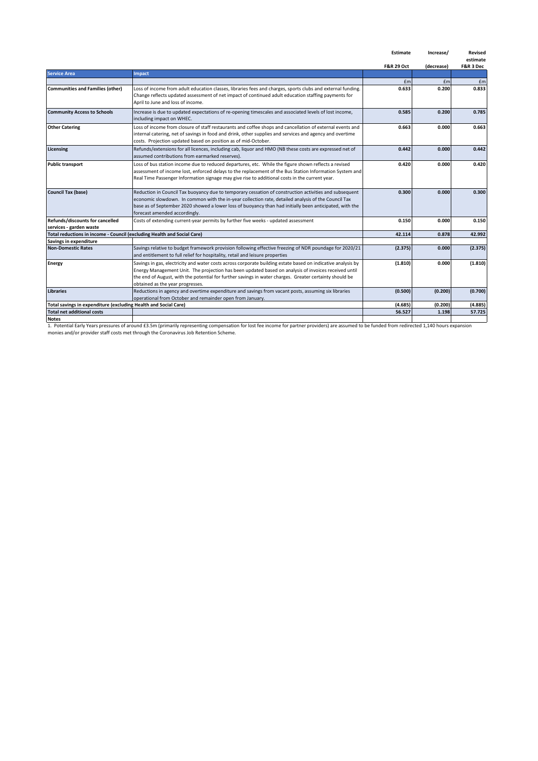|                                                                         |                                                                                                              | <b>Estimate</b>       | Increase/  | <b>Revised</b> |
|-------------------------------------------------------------------------|--------------------------------------------------------------------------------------------------------------|-----------------------|------------|----------------|
|                                                                         |                                                                                                              |                       |            | estimate       |
| <b>Service Area</b>                                                     | Impact                                                                                                       | <b>F&amp;R 29 Oct</b> | (decrease) | F&R 3 Dec      |
|                                                                         |                                                                                                              |                       |            |                |
|                                                                         |                                                                                                              | £m                    | £m         | £m             |
| <b>Communities and Families (other)</b>                                 | Loss of income from adult education classes, libraries fees and charges, sports clubs and external funding.  | 0.633                 | 0.200      | 0.833          |
|                                                                         | Change reflects updated assessment of net impact of continued adult education staffing payments for          |                       |            |                |
|                                                                         | April to June and loss of income.                                                                            |                       |            |                |
| <b>Community Access to Schools</b>                                      | Increase is due to updated expectations of re-opening timescales and associated levels of lost income,       | 0.585                 | 0.200      | 0.785          |
|                                                                         | including impact on WHEC.                                                                                    |                       |            |                |
| <b>Other Catering</b>                                                   | Loss of income from closure of staff restaurants and coffee shops and cancellation of external events and    | 0.663                 | 0.000      | 0.663          |
|                                                                         | internal catering, net of savings in food and drink, other supplies and services and agency and overtime     |                       |            |                |
|                                                                         | costs. Projection updated based on position as of mid-October.                                               |                       |            |                |
| Licensing                                                               | Refunds/extensions for all licences, including cab, liquor and HMO (NB these costs are expressed net of      | 0.442                 | 0.000      | 0.442          |
|                                                                         | assumed contributions from earmarked reserves).                                                              |                       |            |                |
| <b>Public transport</b>                                                 | Loss of bus station income due to reduced departures, etc. While the figure shown reflects a revised         | 0.420                 | 0.000      | 0.420          |
|                                                                         |                                                                                                              |                       |            |                |
|                                                                         | assessment of income lost, enforced delays to the replacement of the Bus Station Information System and      |                       |            |                |
|                                                                         | Real Time Passenger Information signage may give rise to additional costs in the current year.               |                       |            |                |
| <b>Council Tax (base)</b>                                               | Reduction in Council Tax buoyancy due to temporary cessation of construction activities and subsequent       | 0.300                 | 0.000      | 0.300          |
|                                                                         | economic slowdown. In common with the in-year collection rate, detailed analysis of the Council Tax          |                       |            |                |
|                                                                         | base as of September 2020 showed a lower loss of buoyancy than had initially been anticipated, with the      |                       |            |                |
|                                                                         | forecast amended accordingly.                                                                                |                       |            |                |
| Refunds/discounts for cancelled                                         | Costs of extending current-year permits by further five weeks - updated assessment                           | 0.150                 | 0.000      | 0.150          |
| services - garden waste                                                 |                                                                                                              |                       |            |                |
| Total reductions in income - Council (excluding Health and Social Care) |                                                                                                              | 42.114                | 0.878      | 42.992         |
| Savings in expenditure                                                  |                                                                                                              |                       |            |                |
| <b>Non-Domestic Rates</b>                                               | Savings relative to budget framework provision following effective freezing of NDR poundage for 2020/21      | (2.375)               | 0.000      | (2.375)        |
|                                                                         | and entitlement to full relief for hospitality, retail and leisure properties                                |                       |            |                |
| <b>Energy</b>                                                           | Savings in gas, electricity and water costs across corporate building estate based on indicative analysis by | (1.810)               | 0.000      | (1.810)        |
|                                                                         | Energy Management Unit. The projection has been updated based on analysis of invoices received until         |                       |            |                |
|                                                                         | the end of August, with the potential for further savings in water charges. Greater certainty should be      |                       |            |                |
|                                                                         | obtained as the year progresses.                                                                             |                       |            |                |
| <b>Libraries</b>                                                        | Reductions in agency and overtime expenditure and savings from vacant posts, assuming six libraries          | (0.500)               | (0.200)    | (0.700)        |
|                                                                         | operational from October and remainder open from January.                                                    |                       |            |                |
| Total savings in expenditure (excluding Health and Social Care)         |                                                                                                              | (4.685)               | (0.200)    | (4.885)        |
| <b>Total net additional costs</b>                                       |                                                                                                              | 56.527                | 1.198      | 57.725         |
| <b>Notes</b>                                                            |                                                                                                              |                       |            |                |

Notes<br>1. Potential Early Years pressures of around £3.5m (primarily representing compensation for lost fee income for partner providers) are assumed to be funded from redirected 1,140 hours expansion<br>monies and/or provider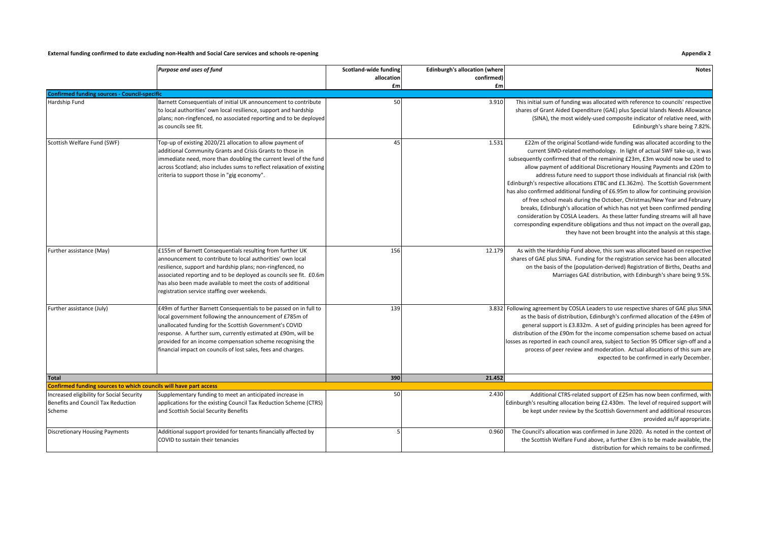#### **External funding confirmed to date excluding non-Health and Social Care services and schools re-opening Appendix 2**

|                                                                                           | Purpose and uses of fund                                                                                                                                                                                                                                                                                                                                                               | Scotland-wide funding<br>allocation<br>£m | <b>Edinburgh's allocation (where</b><br>confirmed)<br>£m | <b>Notes</b>                                                                                                                                                                                                                                                                                                                                                                                                                                                                                                                                                                                                                                                                                                                                                                                                                                                                                                                                                |
|-------------------------------------------------------------------------------------------|----------------------------------------------------------------------------------------------------------------------------------------------------------------------------------------------------------------------------------------------------------------------------------------------------------------------------------------------------------------------------------------|-------------------------------------------|----------------------------------------------------------|-------------------------------------------------------------------------------------------------------------------------------------------------------------------------------------------------------------------------------------------------------------------------------------------------------------------------------------------------------------------------------------------------------------------------------------------------------------------------------------------------------------------------------------------------------------------------------------------------------------------------------------------------------------------------------------------------------------------------------------------------------------------------------------------------------------------------------------------------------------------------------------------------------------------------------------------------------------|
| <b>Confirmed funding sources - Council-specific</b>                                       |                                                                                                                                                                                                                                                                                                                                                                                        |                                           |                                                          |                                                                                                                                                                                                                                                                                                                                                                                                                                                                                                                                                                                                                                                                                                                                                                                                                                                                                                                                                             |
| Hardship Fund                                                                             | Barnett Consequentials of initial UK announcement to contribute<br>to local authorities' own local resilience, support and hardship<br>plans; non-ringfenced, no associated reporting and to be deployed<br>as councils see fit.                                                                                                                                                       | 50                                        | 3.910                                                    | This initial sum of funding was allocated with reference to councils' respective<br>shares of Grant Aided Expenditure (GAE) plus Special Islands Needs Allowance<br>(SINA), the most widely-used composite indicator of relative need, with<br>Edinburgh's share being 7.82%.                                                                                                                                                                                                                                                                                                                                                                                                                                                                                                                                                                                                                                                                               |
| Scottish Welfare Fund (SWF)                                                               | Top-up of existing 2020/21 allocation to allow payment of<br>additional Community Grants and Crisis Grants to those in<br>immediate need, more than doubling the current level of the fund<br>across Scotland; also includes sums to reflect relaxation of existing<br>criteria to support those in "gig economy".                                                                     | 45                                        | 1.531                                                    | £22m of the original Scotland-wide funding was allocated according to the<br>current SIMD-related methodology. In light of actual SWF take-up, it was<br>subsequently confirmed that of the remaining £23m, £3m would now be used to<br>allow payment of additional Discretionary Housing Payments and £20m to<br>address future need to support those individuals at financial risk (with<br>Edinburgh's respective allocations £TBC and £1.362m). The Scottish Government<br>has also confirmed additional funding of £6.95m to allow for continuing provision<br>of free school meals during the October, Christmas/New Year and February<br>breaks, Edinburgh's allocation of which has not yet been confirmed pending<br>consideration by COSLA Leaders. As these latter funding streams will all have<br>corresponding expenditure obligations and thus not impact on the overall gap,<br>they have not been brought into the analysis at this stage. |
| Further assistance (May)                                                                  | £155m of Barnett Consequentials resulting from further UK<br>announcement to contribute to local authorities' own local<br>resilience, support and hardship plans; non-ringfenced, no<br>associated reporting and to be deployed as councils see fit. £0.6m<br>has also been made available to meet the costs of additional<br>registration service staffing over weekends.            | 156                                       | 12.179                                                   | As with the Hardship Fund above, this sum was allocated based on respective<br>shares of GAE plus SINA. Funding for the registration service has been allocated<br>on the basis of the (population-derived) Registration of Births, Deaths and<br>Marriages GAE distribution, with Edinburgh's share being 9.5%.                                                                                                                                                                                                                                                                                                                                                                                                                                                                                                                                                                                                                                            |
| Further assistance (July)                                                                 | £49m of further Barnett Consequentials to be passed on in full to<br>ocal government following the announcement of £785m of<br>unallocated funding for the Scottish Government's COVID<br>response. A further sum, currently estimated at £90m, will be<br>provided for an income compensation scheme recognising the<br>financial impact on councils of lost sales, fees and charges. | 139                                       |                                                          | 3.832 Following agreement by COSLA Leaders to use respective shares of GAE plus SINA<br>as the basis of distribution, Edinburgh's confirmed allocation of the £49m of<br>general support is £3.832m. A set of guiding principles has been agreed for<br>distribution of the £90m for the income compensation scheme based on actual<br>losses as reported in each council area, subject to Section 95 Officer sign-off and a<br>process of peer review and moderation. Actual allocations of this sum are<br>expected to be confirmed in early December.                                                                                                                                                                                                                                                                                                                                                                                                    |
| <b>Total</b>                                                                              |                                                                                                                                                                                                                                                                                                                                                                                        | 390                                       | 21.452                                                   |                                                                                                                                                                                                                                                                                                                                                                                                                                                                                                                                                                                                                                                                                                                                                                                                                                                                                                                                                             |
| Confirmed funding sources to which councils will have part access                         |                                                                                                                                                                                                                                                                                                                                                                                        |                                           |                                                          |                                                                                                                                                                                                                                                                                                                                                                                                                                                                                                                                                                                                                                                                                                                                                                                                                                                                                                                                                             |
| Increased eligibility for Social Security<br>Benefits and Council Tax Reduction<br>Scheme | Supplementary funding to meet an anticipated increase in<br>applications for the existing Council Tax Reduction Scheme (CTRS)<br>and Scottish Social Security Benefits                                                                                                                                                                                                                 | 50                                        | 2.430                                                    | Additional CTRS-related support of £25m has now been confirmed, with<br>Edinburgh's resulting allocation being £2.430m. The level of required support will<br>be kept under review by the Scottish Government and additional resources<br>provided as/if appropriate.                                                                                                                                                                                                                                                                                                                                                                                                                                                                                                                                                                                                                                                                                       |
| <b>Discretionary Housing Payments</b>                                                     | Additional support provided for tenants financially affected by<br>COVID to sustain their tenancies                                                                                                                                                                                                                                                                                    |                                           | 0.960                                                    | The Council's allocation was confirmed in June 2020. As noted in the context of<br>the Scottish Welfare Fund above, a further £3m is to be made available, the<br>distribution for which remains to be confirmed.                                                                                                                                                                                                                                                                                                                                                                                                                                                                                                                                                                                                                                                                                                                                           |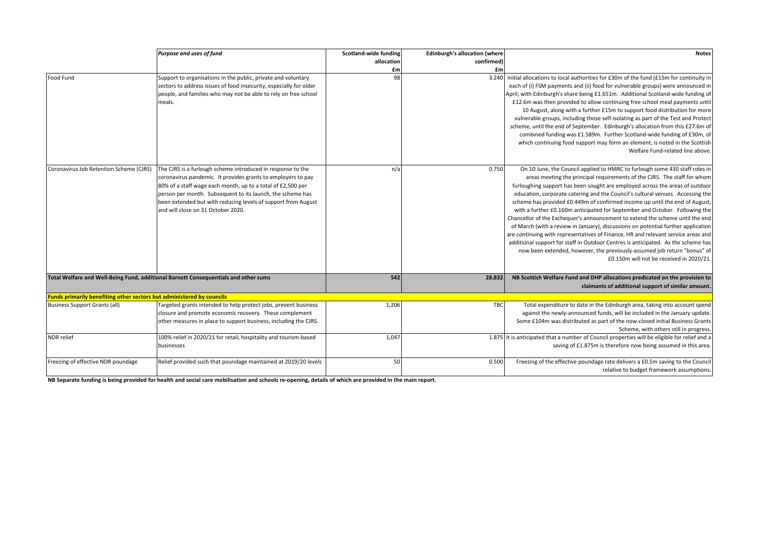|                                                                       | Purpose and uses of fund                                                                                                                                                                                                                                                                                                                                        | Scotland-wide funding | <b>Edinburgh's allocation (where</b> | <b>Notes</b>                                                                                                                                                                                                                                                                                                                                                                                                                                                                                                                                                                                                                                                                                                                                                                                                                                                                                                                                                    |
|-----------------------------------------------------------------------|-----------------------------------------------------------------------------------------------------------------------------------------------------------------------------------------------------------------------------------------------------------------------------------------------------------------------------------------------------------------|-----------------------|--------------------------------------|-----------------------------------------------------------------------------------------------------------------------------------------------------------------------------------------------------------------------------------------------------------------------------------------------------------------------------------------------------------------------------------------------------------------------------------------------------------------------------------------------------------------------------------------------------------------------------------------------------------------------------------------------------------------------------------------------------------------------------------------------------------------------------------------------------------------------------------------------------------------------------------------------------------------------------------------------------------------|
|                                                                       |                                                                                                                                                                                                                                                                                                                                                                 | allocation            | confirmed)                           |                                                                                                                                                                                                                                                                                                                                                                                                                                                                                                                                                                                                                                                                                                                                                                                                                                                                                                                                                                 |
|                                                                       |                                                                                                                                                                                                                                                                                                                                                                 | £m                    | £m                                   |                                                                                                                                                                                                                                                                                                                                                                                                                                                                                                                                                                                                                                                                                                                                                                                                                                                                                                                                                                 |
| <b>Food Fund</b>                                                      | Support to organisations in the public, private and voluntary<br>sectors to address issues of food insecurity, especially for older<br>people, and families who may not be able to rely on free school<br>meals.                                                                                                                                                | 98                    |                                      | 3.240 Initial allocations to local authorities for £30m of the fund (£15m for continuity in<br>each of (i) FSM payments and (ii) food for vulnerable groups) were announced in<br>April, with Edinburgh's share being £1.651m. Additional Scotland-wide funding of<br>£12.6m was then provided to allow continuing free school meal payments until<br>10 August, along with a further £15m to support food distribution for more<br>vulnerable groups, including those self-isolating as part of the Test and Protect<br>scheme, until the end of September. Edinburgh's allocation from this £27.6m of<br>combined funding was £1.589m. Further Scotland-wide funding of £30m, of<br>which continuing food support may form an element, is noted in the Scottish<br>Welfare Fund-related line above.                                                                                                                                                           |
| Coronavirus Job Retention Scheme (CJRS)                               | The CJRS is a furlough scheme introduced in response to the<br>coronavirus pandemic. It provides grants to employers to pay<br>80% of a staff wage each month, up to a total of £2,500 per<br>person per month. Subsequent to its launch, the scheme has<br>been extended but with reducing levels of support from August<br>and will close on 31 October 2020. | n/a                   | 0.750                                | On 10 June, the Council applied to HMRC to furlough some 430 staff roles in<br>areas meeting the principal requirements of the CJRS. The staff for whom<br>furloughing support has been sought are employed across the areas of outdoor<br>education, corporate catering and the Council's cultural venues. Accessing the<br>scheme has provided £0.449m of confirmed income up until the end of August,<br>with a further £0.160m anticipated for September and October. Following the<br>Chancellor of the Exchequer's announcement to extend the scheme until the end<br>of March (with a review in January), discussions on potential further application<br>are continuing with representatives of Finance, HR and relevant service areas and<br>additional support for staff in Outdoor Centres is anticipated. As the scheme has<br>now been extended, however, the previously-assumed job return "bonus" of<br>£0.150m will not be received in 2020/21. |
|                                                                       | Total Welfare and Well-Being Fund, additional Barnett Consequentials and other sums                                                                                                                                                                                                                                                                             | 542                   | 28.832                               | NB Scottish Welfare Fund and DHP allocations predicated on the provision to<br>claimants of additional support of similar amount.                                                                                                                                                                                                                                                                                                                                                                                                                                                                                                                                                                                                                                                                                                                                                                                                                               |
| Funds primarily benefiting other sectors but administered by councils |                                                                                                                                                                                                                                                                                                                                                                 |                       |                                      |                                                                                                                                                                                                                                                                                                                                                                                                                                                                                                                                                                                                                                                                                                                                                                                                                                                                                                                                                                 |
| <b>Business Support Grants (all)</b>                                  | Targeted grants intended to help protect jobs, prevent business<br>closure and promote economic recovery. These complement<br>other measures in place to support business, including the CJRS.                                                                                                                                                                  | 1,206                 | TBC                                  | Total expenditure to date in the Edinburgh area, taking into account spend<br>against the newly-announced funds, will be included in the January update.<br>Some £104m was distributed as part of the now-closed initial Business Grants<br>Scheme, with others still in progress.                                                                                                                                                                                                                                                                                                                                                                                                                                                                                                                                                                                                                                                                              |
| NDR relief                                                            | 100% relief in 2020/21 for retail, hospitality and tourism-based<br>businesses                                                                                                                                                                                                                                                                                  | 1,047                 |                                      | 1.875 It is anticipated that a number of Council properties will be eligible for relief and a<br>saving of £1.875m is therefore now being assumed in this area.                                                                                                                                                                                                                                                                                                                                                                                                                                                                                                                                                                                                                                                                                                                                                                                                 |
| Freezing of effective NDR poundage                                    | Relief provided such that poundage maintained at 2019/20 levels                                                                                                                                                                                                                                                                                                 | 50                    | 0.500                                | Freezing of the effective poundage rate delivers a £0.5m saving to the Council<br>relative to budget framework assumptions.                                                                                                                                                                                                                                                                                                                                                                                                                                                                                                                                                                                                                                                                                                                                                                                                                                     |

**NB Separate funding is being provided for health and social care mobilisation and schools re-opening, details of which are provided in the main report.**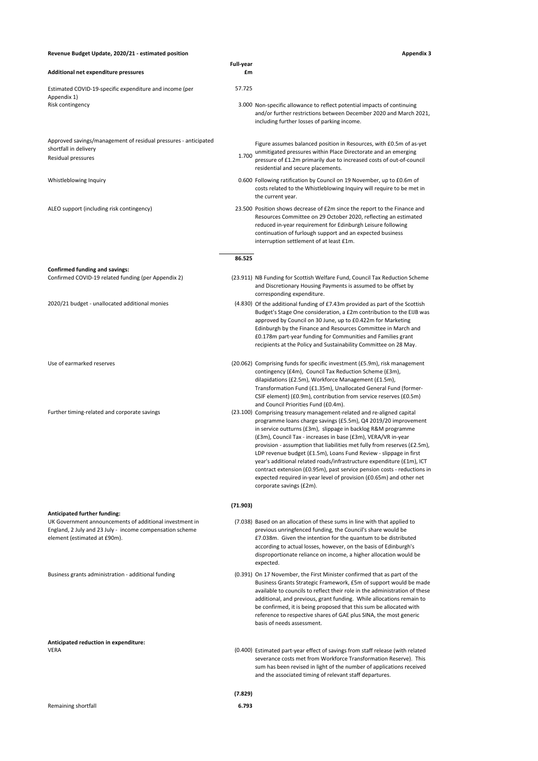#### **Revenue Budget Update, 2020/21 - estimated position Appendix 3**

| Appendix 3 |  |  |
|------------|--|--|
|            |  |  |

|                                                                                                                                                                                     | <b>Full-year</b> |                                                                                                                                                                                                                                                                                                                                                                                                                                                                                                                                                                                                                                                                                   |
|-------------------------------------------------------------------------------------------------------------------------------------------------------------------------------------|------------------|-----------------------------------------------------------------------------------------------------------------------------------------------------------------------------------------------------------------------------------------------------------------------------------------------------------------------------------------------------------------------------------------------------------------------------------------------------------------------------------------------------------------------------------------------------------------------------------------------------------------------------------------------------------------------------------|
| Additional net expenditure pressures                                                                                                                                                | £m               |                                                                                                                                                                                                                                                                                                                                                                                                                                                                                                                                                                                                                                                                                   |
| Estimated COVID-19-specific expenditure and income (per<br>Appendix 1)                                                                                                              | 57.725           |                                                                                                                                                                                                                                                                                                                                                                                                                                                                                                                                                                                                                                                                                   |
| Risk contingency                                                                                                                                                                    |                  | 3.000 Non-specific allowance to reflect potential impacts of continuing<br>and/or further restrictions between December 2020 and March 2021,<br>including further losses of parking income.                                                                                                                                                                                                                                                                                                                                                                                                                                                                                       |
| Approved savings/management of residual pressures - anticipated                                                                                                                     |                  | Figure assumes balanced position in Resources, with £0.5m of as-yet                                                                                                                                                                                                                                                                                                                                                                                                                                                                                                                                                                                                               |
| shortfall in delivery<br>Residual pressures                                                                                                                                         | 1.700            | unmitigated pressures within Place Directorate and an emerging<br>pressure of £1.2m primarily due to increased costs of out-of-council<br>residential and secure placements.                                                                                                                                                                                                                                                                                                                                                                                                                                                                                                      |
| Whistleblowing Inquiry                                                                                                                                                              |                  | 0.600 Following ratification by Council on 19 November, up to £0.6m of<br>costs related to the Whistleblowing Inquiry will require to be met in<br>the current year.                                                                                                                                                                                                                                                                                                                                                                                                                                                                                                              |
| ALEO support (including risk contingency)                                                                                                                                           |                  | 23.500 Position shows decrease of £2m since the report to the Finance and<br>Resources Committee on 29 October 2020, reflecting an estimated<br>reduced in-year requirement for Edinburgh Leisure following<br>continuation of furlough support and an expected business<br>interruption settlement of at least £1m.                                                                                                                                                                                                                                                                                                                                                              |
|                                                                                                                                                                                     | 86.525           |                                                                                                                                                                                                                                                                                                                                                                                                                                                                                                                                                                                                                                                                                   |
| <b>Confirmed funding and savings:</b><br>Confirmed COVID-19 related funding (per Appendix 2)                                                                                        |                  |                                                                                                                                                                                                                                                                                                                                                                                                                                                                                                                                                                                                                                                                                   |
|                                                                                                                                                                                     |                  | (23.911) NB Funding for Scottish Welfare Fund, Council Tax Reduction Scheme<br>and Discretionary Housing Payments is assumed to be offset by<br>corresponding expenditure.                                                                                                                                                                                                                                                                                                                                                                                                                                                                                                        |
| 2020/21 budget - unallocated additional monies                                                                                                                                      |                  | (4.830) Of the additional funding of £7.43m provided as part of the Scottish<br>Budget's Stage One consideration, a £2m contribution to the EIJB was<br>approved by Council on 30 June, up to £0.422m for Marketing<br>Edinburgh by the Finance and Resources Committee in March and<br>£0.178m part-year funding for Communities and Families grant<br>recipients at the Policy and Sustainability Committee on 28 May.                                                                                                                                                                                                                                                          |
| Use of earmarked reserves                                                                                                                                                           |                  | (20.062) Comprising funds for specific investment (£5.9m), risk management<br>contingency (£4m), Council Tax Reduction Scheme (£3m),<br>dilapidations (£2.5m), Workforce Management (£1.5m),<br>Transformation Fund (£1.35m), Unallocated General Fund (former-<br>CSIF element) (£0.9m), contribution from service reserves (£0.5m)<br>and Council Priorities Fund (£0.4m).                                                                                                                                                                                                                                                                                                      |
| Further timing-related and corporate savings                                                                                                                                        |                  | (23.100) Comprising treasury management-related and re-aligned capital<br>programme loans charge savings (£5.5m), Q4 2019/20 improvement<br>in service outturns (£3m), slippage in backlog R&M programme<br>(£3m), Council Tax - increases in base (£3m), VERA/VR in-year<br>provision - assumption that liabilities met fully from reserves (£2.5m),<br>LDP revenue budget (£1.5m), Loans Fund Review - slippage in first<br>year's additional related roads/infrastructure expenditure (£1m), ICT<br>contract extension (£0.95m), past service pension costs - reductions in<br>expected required in-year level of provision (£0.65m) and other net<br>corporate savings (£2m). |
|                                                                                                                                                                                     | (71.903)         |                                                                                                                                                                                                                                                                                                                                                                                                                                                                                                                                                                                                                                                                                   |
| Anticipated further funding:<br>UK Government announcements of additional investment in<br>England, 2 July and 23 July - income compensation scheme<br>element (estimated at £90m). |                  | (7.038) Based on an allocation of these sums in line with that applied to<br>previous unringfenced funding, the Council's share would be<br>£7.038m. Given the intention for the quantum to be distributed<br>according to actual losses, however, on the basis of Edinburgh's<br>disproportionate reliance on income, a higher allocation would be<br>expected.                                                                                                                                                                                                                                                                                                                  |
| Business grants administration - additional funding                                                                                                                                 |                  | (0.391) On 17 November, the First Minister confirmed that as part of the<br>Business Grants Strategic Framework, £5m of support would be made<br>available to councils to reflect their role in the administration of these<br>additional, and previous, grant funding. While allocations remain to<br>be confirmed, it is being proposed that this sum be allocated with<br>reference to respective shares of GAE plus SINA, the most generic<br>basis of needs assessment.                                                                                                                                                                                                      |
| Anticipated reduction in expenditure:<br><b>VERA</b>                                                                                                                                |                  | (0.400) Estimated part-year effect of savings from staff release (with related<br>severance costs met from Workforce Transformation Reserve). This<br>sum has been revised in light of the number of applications received<br>and the associated timing of relevant staff departures.                                                                                                                                                                                                                                                                                                                                                                                             |
|                                                                                                                                                                                     | (7.829)          |                                                                                                                                                                                                                                                                                                                                                                                                                                                                                                                                                                                                                                                                                   |
| Remaining shortfall                                                                                                                                                                 | 6.793            |                                                                                                                                                                                                                                                                                                                                                                                                                                                                                                                                                                                                                                                                                   |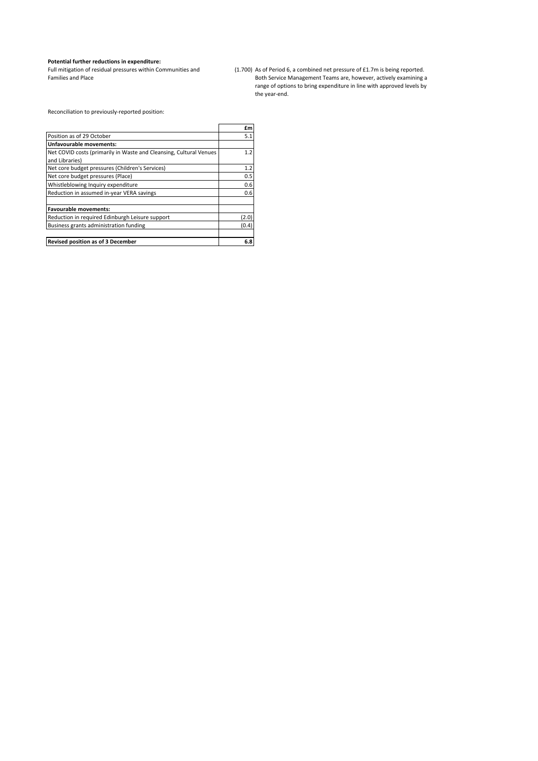#### **Potential further reductions in expenditure:**

Full mitigation of residual pressures within Communities and Families and Place

(1.700) As of Period 6, a combined net pressure of £1.7m is being reported. Both Service Management Teams are, however, actively examining a range of options to bring expenditure in line with approved levels by the year-end.

Reconciliation to previously-reported position:

|                                                                    | £m    |
|--------------------------------------------------------------------|-------|
| Position as of 29 October                                          | 5.1   |
| Unfavourable movements:                                            |       |
| Net COVID costs (primarily in Waste and Cleansing, Cultural Venues | 1.2   |
| and Libraries)                                                     |       |
| Net core budget pressures (Children's Services)                    | 1.2   |
| Net core budget pressures (Place)                                  | 0.5   |
| Whistleblowing Inquiry expenditure                                 | 0.6   |
| Reduction in assumed in-year VERA savings                          | 0.6   |
| <b>Favourable movements:</b>                                       |       |
| Reduction in required Edinburgh Leisure support                    | (2.0) |
| Business grants administration funding                             | (0.4) |
| <b>Revised position as of 3 December</b>                           | 6.8   |